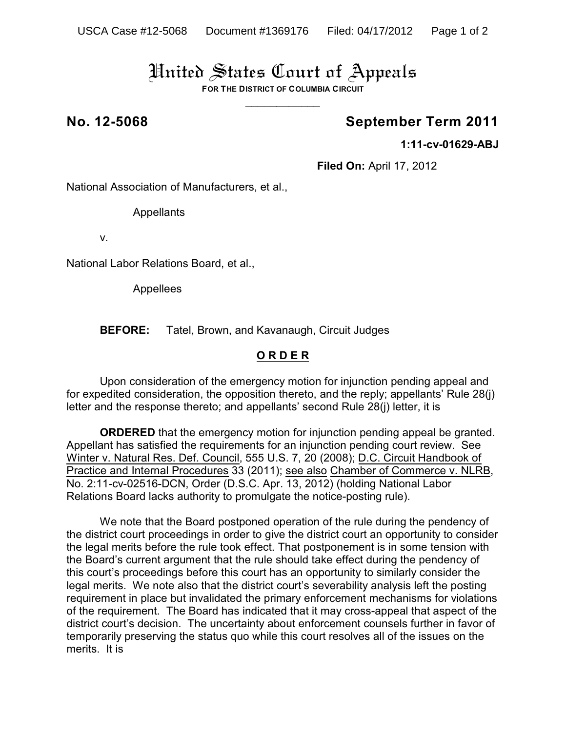## United States Court of Appeals

**FOR THE DISTRICT OF COLUMBIA CIRCUIT**  $\overline{\phantom{a}}$ 

## **No. 12-5068 September Term 2011**

**1:11-cv-01629-ABJ**

**Filed On:** April 17, 2012

National Association of Manufacturers, et al.,

**Appellants** 

v.

National Labor Relations Board, et al.,

Appellees

**BEFORE:** Tatel, Brown, and Kavanaugh, Circuit Judges

### **O R D E R**

Upon consideration of the emergency motion for injunction pending appeal and for expedited consideration, the opposition thereto, and the reply; appellants' Rule 28(j) letter and the response thereto; and appellants' second Rule 28(j) letter, it is

**ORDERED** that the emergency motion for injunction pending appeal be granted. Appellant has satisfied the requirements for an injunction pending court review. See Winter v. Natural Res. Def. Council, 555 U.S. 7, 20 (2008); D.C. Circuit Handbook of Practice and Internal Procedures 33 (2011); see also Chamber of Commerce v. NLRB, No. 2:11-cv-02516-DCN, Order (D.S.C. Apr. 13, 2012) (holding National Labor Relations Board lacks authority to promulgate the notice-posting rule).

We note that the Board postponed operation of the rule during the pendency of the district court proceedings in order to give the district court an opportunity to consider the legal merits before the rule took effect. That postponement is in some tension with the Board's current argument that the rule should take effect during the pendency of this court's proceedings before this court has an opportunity to similarly consider the legal merits. We note also that the district court's severability analysis left the posting requirement in place but invalidated the primary enforcement mechanisms for violations of the requirement. The Board has indicated that it may cross-appeal that aspect of the district court's decision. The uncertainty about enforcement counsels further in favor of temporarily preserving the status quo while this court resolves all of the issues on the merits. It is